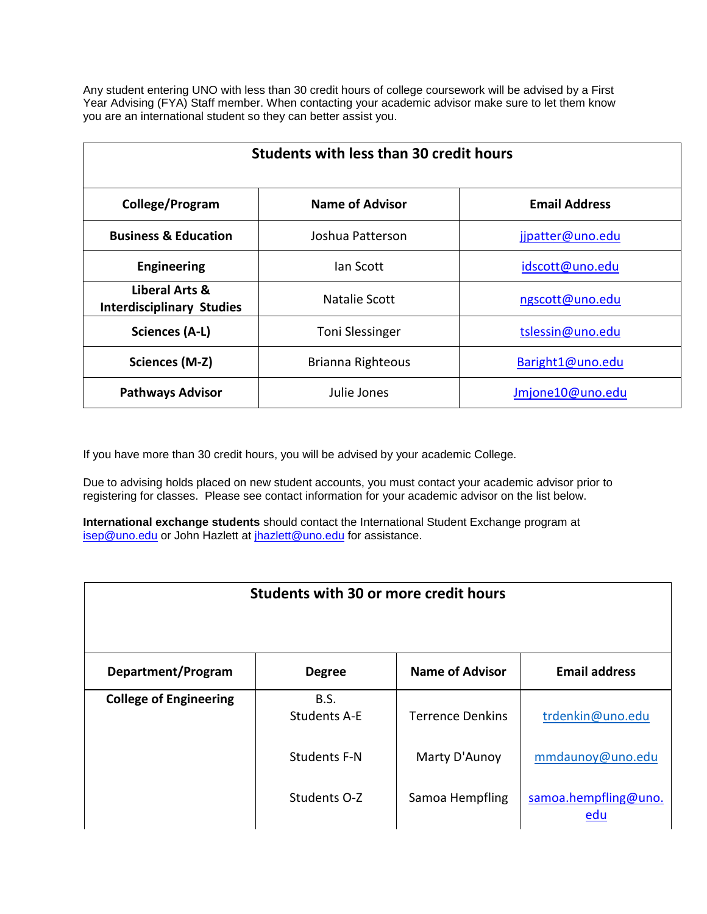Any student entering UNO with less than 30 credit hours of college coursework will be advised by a First Year Advising (FYA) Staff member. When contacting your academic advisor make sure to let them know you are an international student so they can better assist you.

| <b>Students with less than 30 credit hours</b>     |                          |                      |  |
|----------------------------------------------------|--------------------------|----------------------|--|
| College/Program                                    | <b>Name of Advisor</b>   | <b>Email Address</b> |  |
| <b>Business &amp; Education</b>                    | Joshua Patterson         | jjpatter@uno.edu     |  |
| <b>Engineering</b>                                 | lan Scott                | idscott@uno.edu      |  |
| Liberal Arts &<br><b>Interdisciplinary Studies</b> | Natalie Scott            | ngscott@uno.edu      |  |
| Sciences (A-L)                                     | <b>Toni Slessinger</b>   | tslessin@uno.edu     |  |
| Sciences (M-Z)                                     | <b>Brianna Righteous</b> | Baright1@uno.edu     |  |
| <b>Pathways Advisor</b>                            | Julie Jones              | Jmjone10@uno.edu     |  |

If you have more than 30 credit hours, you will be advised by your academic College.

Due to advising holds placed on new student accounts, you must contact your academic advisor prior to registering for classes. Please see contact information for your academic advisor on the list below.

**International exchange students** should contact the International Student Exchange program at [isep@uno.edu](mailto:isep@uno.edu) or John Hazlett at [jhazlett@uno.edu](mailto:jhazlett@uno.edu) for assistance.

| Students with 30 or more credit hours |                             |                         |                             |
|---------------------------------------|-----------------------------|-------------------------|-----------------------------|
| Department/Program                    | <b>Degree</b>               | <b>Name of Advisor</b>  | <b>Email address</b>        |
| <b>College of Engineering</b>         | B.S.<br><b>Students A-E</b> | <b>Terrence Denkins</b> | trdenkin@uno.edu            |
|                                       | Students F-N                | Marty D'Aunoy           | mmdaunoy@uno.edu            |
|                                       | Students O-Z                | Samoa Hempfling         | samoa.hempfling@uno.<br>edu |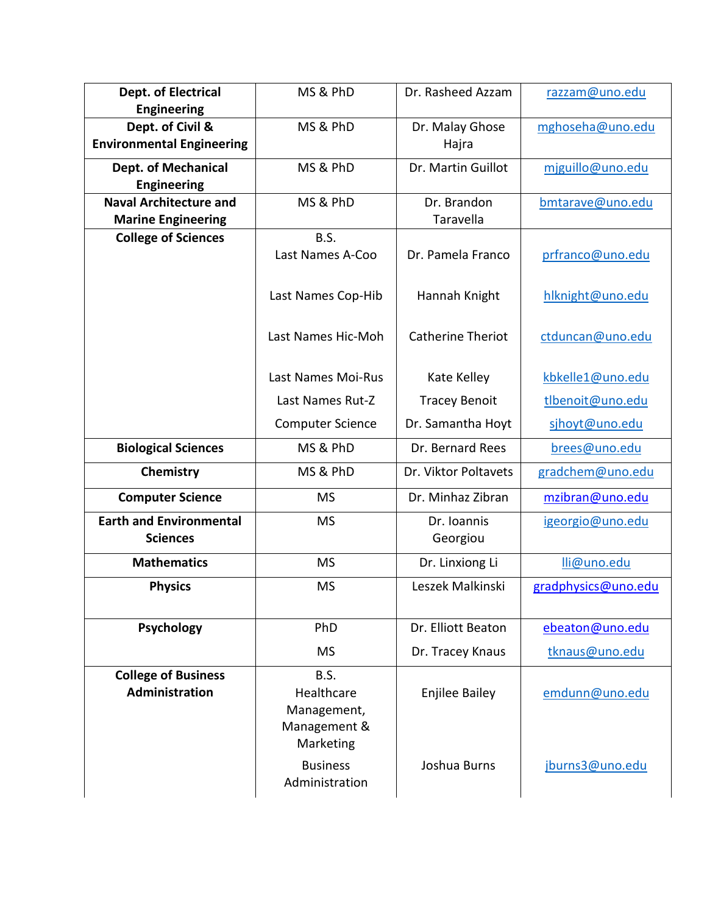| <b>Dept. of Electrical</b>                                 | MS & PhD                                                       | Dr. Rasheed Azzam        | razzam@uno.edu      |
|------------------------------------------------------------|----------------------------------------------------------------|--------------------------|---------------------|
| <b>Engineering</b><br>Dept. of Civil &                     | MS & PhD                                                       | Dr. Malay Ghose          | mghoseha@uno.edu    |
| <b>Environmental Engineering</b>                           |                                                                | Hajra                    |                     |
| <b>Dept. of Mechanical</b><br><b>Engineering</b>           | MS & PhD                                                       | Dr. Martin Guillot       | mjguillo@uno.edu    |
| <b>Naval Architecture and</b><br><b>Marine Engineering</b> | MS & PhD                                                       | Dr. Brandon<br>Taravella | bmtarave@uno.edu    |
| <b>College of Sciences</b>                                 | <b>B.S.</b>                                                    |                          |                     |
|                                                            | Last Names A-Coo                                               | Dr. Pamela Franco        | prfranco@uno.edu    |
|                                                            | Last Names Cop-Hib                                             | Hannah Knight            | hlknight@uno.edu    |
|                                                            | Last Names Hic-Moh                                             | <b>Catherine Theriot</b> | ctduncan@uno.edu    |
|                                                            | Last Names Moi-Rus                                             | Kate Kelley              | kbkelle1@uno.edu    |
|                                                            | Last Names Rut-Z                                               | <b>Tracey Benoit</b>     | tlbenoit@uno.edu    |
|                                                            | <b>Computer Science</b>                                        | Dr. Samantha Hoyt        | sjhoyt@uno.edu      |
| <b>Biological Sciences</b>                                 | MS & PhD                                                       | Dr. Bernard Rees         | brees@uno.edu       |
| Chemistry                                                  | MS & PhD                                                       | Dr. Viktor Poltavets     | gradchem@uno.edu    |
| <b>Computer Science</b>                                    | <b>MS</b>                                                      | Dr. Minhaz Zibran        | mzibran@uno.edu     |
| <b>Earth and Environmental</b><br><b>Sciences</b>          | <b>MS</b>                                                      | Dr. Ioannis<br>Georgiou  | igeorgio@uno.edu    |
| <b>Mathematics</b>                                         | <b>MS</b>                                                      | Dr. Linxiong Li          | lli@uno.edu         |
| <b>Physics</b>                                             | <b>MS</b>                                                      | Leszek Malkinski         | gradphysics@uno.edu |
| Psychology                                                 | PhD                                                            | Dr. Elliott Beaton       | ebeaton@uno.edu     |
|                                                            | <b>MS</b>                                                      | Dr. Tracey Knaus         | tknaus@uno.edu      |
| <b>College of Business</b><br>Administration               | B.S.<br>Healthcare<br>Management,                              | <b>Enjilee Bailey</b>    | emdunn@uno.edu      |
|                                                            | Management &<br>Marketing<br><b>Business</b><br>Administration | Joshua Burns             | jburns3@uno.edu     |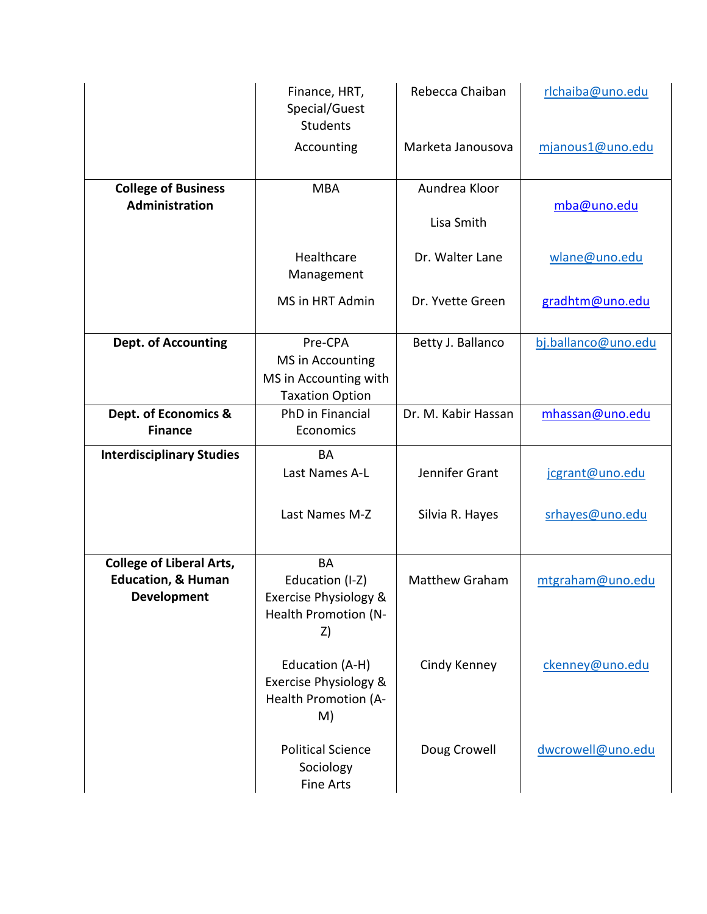|                                                                                        | Finance, HRT,<br>Special/Guest<br><b>Students</b>                                   | Rebecca Chaiban     | rlchaiba@uno.edu    |
|----------------------------------------------------------------------------------------|-------------------------------------------------------------------------------------|---------------------|---------------------|
|                                                                                        | Accounting                                                                          | Marketa Janousova   | mjanous1@uno.edu    |
| <b>College of Business</b>                                                             | <b>MBA</b>                                                                          | Aundrea Kloor       |                     |
| Administration                                                                         |                                                                                     | Lisa Smith          | mba@uno.edu         |
|                                                                                        | Healthcare<br>Management                                                            | Dr. Walter Lane     | wlane@uno.edu       |
|                                                                                        | MS in HRT Admin                                                                     | Dr. Yvette Green    | gradhtm@uno.edu     |
| <b>Dept. of Accounting</b>                                                             | Pre-CPA                                                                             | Betty J. Ballanco   | bj.ballanco@uno.edu |
|                                                                                        | MS in Accounting                                                                    |                     |                     |
|                                                                                        | MS in Accounting with<br><b>Taxation Option</b>                                     |                     |                     |
| Dept. of Economics &                                                                   | PhD in Financial                                                                    | Dr. M. Kabir Hassan | mhassan@uno.edu     |
| <b>Finance</b>                                                                         | Economics                                                                           |                     |                     |
| <b>Interdisciplinary Studies</b>                                                       | <b>BA</b><br>Last Names A-L                                                         | Jennifer Grant      |                     |
|                                                                                        |                                                                                     |                     | jcgrant@uno.edu     |
|                                                                                        | Last Names M-Z                                                                      | Silvia R. Hayes     | srhayes@uno.edu     |
| <b>College of Liberal Arts,</b><br><b>Education, &amp; Human</b><br><b>Development</b> | <b>BA</b><br>Education (I-Z)<br>Exercise Physiology &<br>Health Promotion (N-<br>Z) | Matthew Graham      | mtgraham@uno.edu    |
|                                                                                        | Education (A-H)<br>Exercise Physiology &<br>Health Promotion (A-<br>M)              | Cindy Kenney        | ckenney@uno.edu     |
|                                                                                        | <b>Political Science</b><br>Sociology<br><b>Fine Arts</b>                           | Doug Crowell        | dwcrowell@uno.edu   |